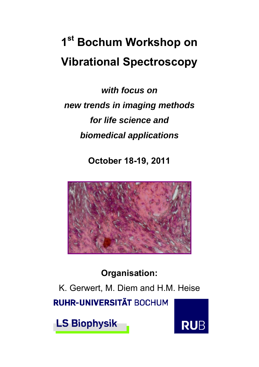## **1st Bochum Workshop on Vibrational Spectroscopy**

*with focus on new trends in imaging methods for life science and biomedical applications* 

**October 18-19, 2011** 



## **Organisation:**

K. Gerwert, M. Diem and H.M. Heise **RUHR-UNIVERSITÄT BOCHUM** 

**LS Biophysik** 

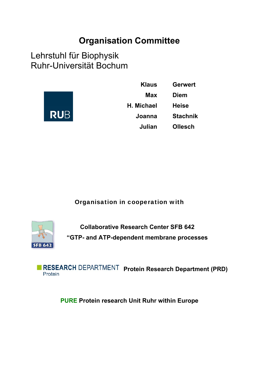## **Organisation Committee**

Lehrstuhl für Biophysik Ruhr-Universität Bochum



| <b>Klaus</b>      | <b>Gerwert</b>  |
|-------------------|-----------------|
| Max               | <b>Diem</b>     |
| <b>H. Michael</b> | <b>Heise</b>    |
| Joanna            | <b>Stachnik</b> |
| Julian            | <b>Ollesch</b>  |

Organisation in cooperation with



**Collaborative Research Center SFB 642 "GTP- and ATP-dependent membrane processes** 

**PRESEARCH DEPARTMENT Protein Research Department (PRD)** Protein

**PURE Protein research Unit Ruhr within Europe**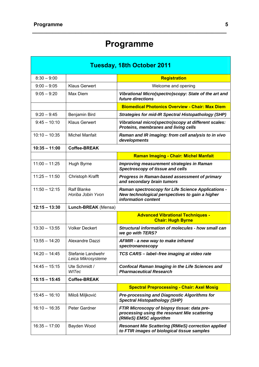## **Programme**

**\_\_\_\_\_\_\_\_\_\_\_\_\_\_\_\_\_\_\_\_\_\_\_\_\_\_\_\_\_\_\_\_\_\_\_\_\_\_\_\_\_\_\_\_\_\_\_\_\_\_\_\_\_\_\_\_\_\_\_\_\_\_\_\_\_\_\_** 

| Tuesday, 18th October 2011 |                                         |                                                                                                                                     |
|----------------------------|-----------------------------------------|-------------------------------------------------------------------------------------------------------------------------------------|
| $8:30 - 9:00$              |                                         | <b>Registration</b>                                                                                                                 |
| $9:00 - 9:05$              | <b>Klaus Gerwert</b>                    | Welcome and opening                                                                                                                 |
| $9:05 - 9:20$              | Max Diem                                | Vibrational Micro(spectro)scopy: State of the art and<br>future directions                                                          |
|                            |                                         | <b>Biomedical Photonics Overview - Chair: Max Diem</b>                                                                              |
| $9:20 - 9:45$              | Benjamin Bird                           | <b>Strategies for mid-IR Spectral Histopathology (SHP)</b>                                                                          |
| $9:45 - 10:10$             | <b>Klaus Gerwert</b>                    | Vibrational micro(spectro)scopy at different scales:<br>Proteins, membranes and living cells                                        |
| $10:10 - 10:35$            | <b>Michel Manfait</b>                   | Raman and IR imaging: from cell analysis to in vivo<br>developments                                                                 |
| $10:35 - 11:00$            | <b>Coffee-BREAK</b>                     |                                                                                                                                     |
|                            |                                         | <b>Raman Imaging - Chair: Michel Manfait</b>                                                                                        |
| $11:00 - 11:25$            | Hugh Byrne                              | Improving measurement strategies in Raman<br>Spectroscopy of tissue and cells                                                       |
| $11:25 - 11:50$            | Christoph Krafft                        | <b>Progress in Raman-based assessment of primary</b><br>and secondary brain tumors                                                  |
| $11:50 - 12:15$            | <b>Ralf Blanke</b><br>Horiba Jobin Yvon | <b>Raman spectroscopy for Life Science Applications -</b><br>New technological perspectives to gain a higher<br>information content |
| $12:15 - 13:30$            | Lunch-BREAK (Mensa)                     |                                                                                                                                     |
|                            |                                         | <b>Advanced Vibrational Techniques -</b><br><b>Chair: Hugh Byrne</b>                                                                |
| $13:30 - 13:55$            | <b>Volker Deckert</b>                   | Structural information of molecules - how small can<br>we go with TERS?                                                             |
| $13:55 - 14:20$            | Alexandre Dazzi                         | AFMIR - a new way to make infrared<br>spectronanoscopy                                                                              |
| $14:20 - 14:45$            | Stefanie Landwehr<br>Leica Mikrosysteme | TCS CARS - label-free imaging at video rate                                                                                         |
| $14:45 - 15:15$            | Ute Schmidt /<br>WITec                  | <b>Confocal Raman Imaging in the Life Sciences and</b><br><b>Pharmaceutical Research</b>                                            |
| $15:15 - 15:45$            | <b>Coffee-BREAK</b>                     |                                                                                                                                     |
|                            |                                         | <b>Spectral Preprocessing - Chair: Axel Mosig</b>                                                                                   |
| $15:45 - 16:10$            | Miloš Miljković                         | <b>Pre-processing and Diagnostic Algorithms for</b><br><b>Spectral Histopathology (SHP)</b>                                         |
| $16:10 - 16:35$            | Peter Gardner                           | FTIR Microscopy of biopsy tissue: data pre-<br>processing using the resonant Mie scattering<br>(RMieS) EMSC algorithm               |
| $16:35 - 17:00$            | Bayden Wood                             | <b>Resonant Mie Scattering (RMieS) correction applied</b><br>to FTIR images of biological tissue samples                            |